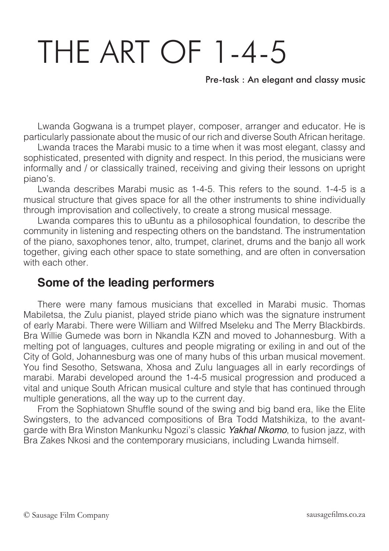## THE ART OF 1-4-5

Pre-task : An elegant and classy music

Lwanda Gogwana is a trumpet player, composer, arranger and educator. He is particularly passionate about the music of our rich and diverse South African heritage.

Lwanda traces the Marabi music to a time when it was most elegant, classy and sophisticated, presented with dignity and respect. In this period, the musicians were informally and / or classically trained, receiving and giving their lessons on upright piano's.

Lwanda describes Marabi music as 1-4-5. This refers to the sound. 1-4-5 is a musical structure that gives space for all the other instruments to shine individually through improvisation and collectively, to create a strong musical message.

Lwanda compares this to uBuntu as a philosophical foundation, to describe the community in listening and respecting others on the bandstand. The instrumentation of the piano, saxophones tenor, alto, trumpet, clarinet, drums and the banjo all work together, giving each other space to state something, and are often in conversation with each other

## **Some of the leading performers**

There were many famous musicians that excelled in Marabi music. Thomas Mabiletsa, the Zulu pianist, played stride piano which was the signature instrument of early Marabi. There were William and Wilfred Mseleku and The Merry Blackbirds. Bra Willie Gumede was born in Nkandla KZN and moved to Johannesburg. With a melting pot of languages, cultures and people migrating or exiling in and out of the City of Gold, Johannesburg was one of many hubs of this urban musical movement. You find Sesotho, Setswana, Xhosa and Zulu languages all in early recordings of marabi. Marabi developed around the 1-4-5 musical progression and produced a vital and unique South African musical culture and style that has continued through multiple generations, all the way up to the current day.

From the Sophiatown Shuffle sound of the swing and big band era, like the Elite Swingsters, to the advanced compositions of Bra Todd Matshikiza, to the avantgarde with Bra Winston Mankunku Ngozi's classic *Yakhal Nkomo*, to fusion jazz, with Bra Zakes Nkosi and the contemporary musicians, including Lwanda himself.